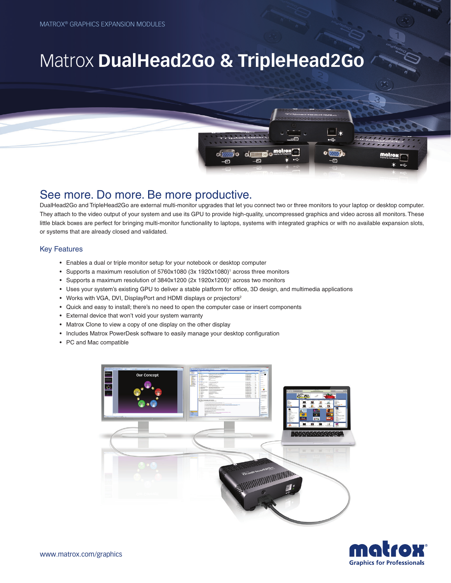# Matrox **DualHead2Go & TripleHead2Go**

# See more. Do more. Be more productive.

DualHead2Go and TripleHead2Go are external multi-monitor upgrades that let you connect two or three monitors to your laptop or desktop computer. They attach to the video output of your system and use its GPU to provide high-quality, uncompressed graphics and video across all monitors. These little black boxes are perfect for bringing multi-monitor functionality to laptops, systems with integrated graphics or with no available expansion slots, or systems that are already closed and validated.

 $\overline{\mathbf{m}}$  o

di <del>ulili b</del>io

 $\bullet$   $\blacksquare$ 

### Key Features

- • Enables a dual or triple monitor setup for your notebook or desktop computer
- Supports a maximum resolution of 5760x1080 (3x 1920x1080)<sup>1</sup> across three monitors
- Supports a maximum resolution of 3840x1200 (2x 1920x1200)<sup>1</sup> across two monitors
- • Uses your system's existing GPU to deliver a stable platform for office, 3D design, and multimedia applications
- Works with VGA, DVI, DisplayPort and HDMI displays or projectors<sup>2</sup>
- • Quick and easy to install; there's no need to open the computer case or insert components
- • External device that won't void your system warranty
- Matrox Clone to view a copy of one display on the other display
- Includes Matrox PowerDesk software to easily manage your desktop configuration
- • PC and Mac compatible